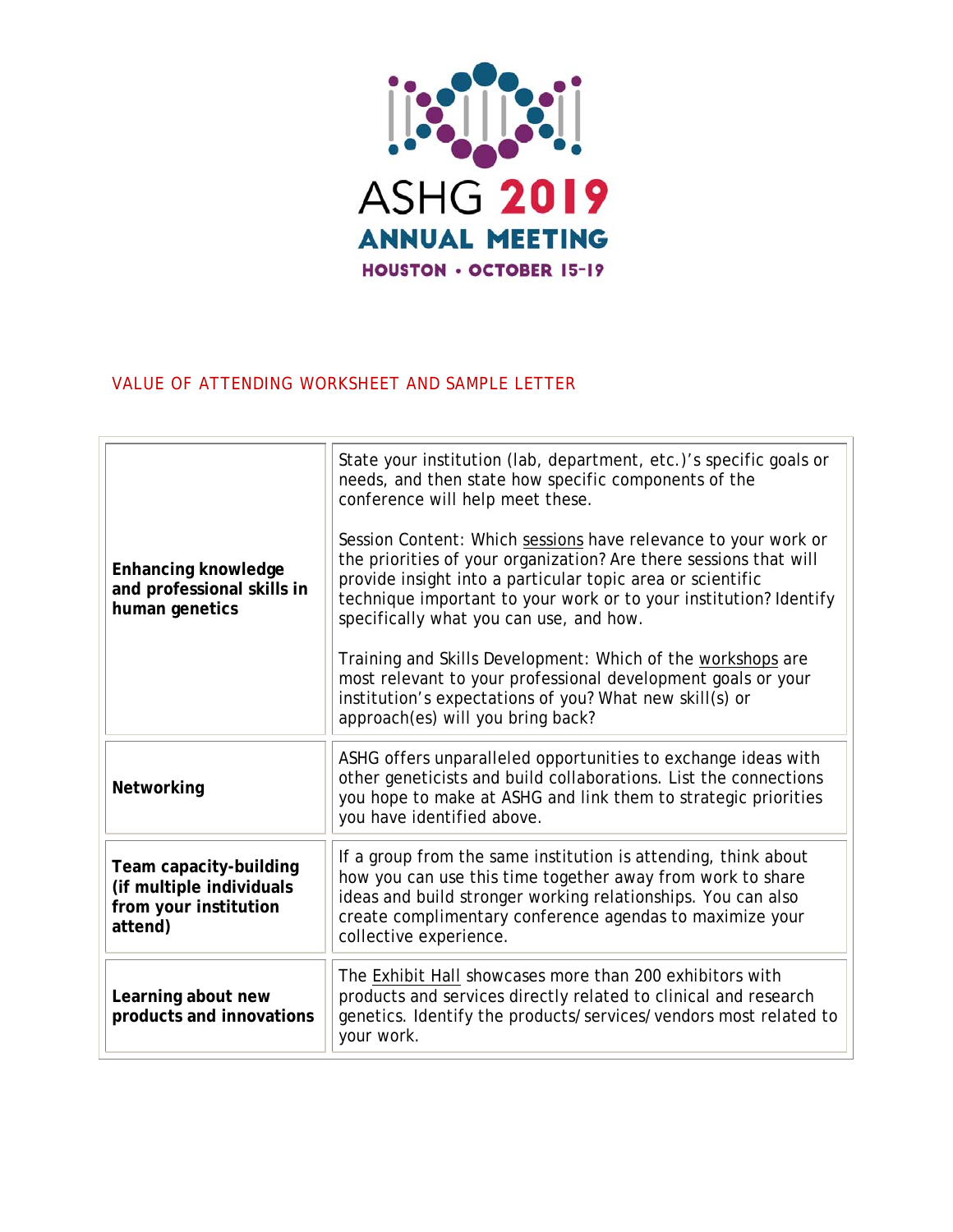

# VALUE OF ATTENDING WORKSHEET AND SAMPLE LETTER

| <b>Enhancing knowledge</b><br>and professional skills in<br>human genetics             | State your institution (lab, department, etc.)'s specific goals or<br>needs, and then state how specific components of the<br>conference will help meet these.<br>Session Content: Which sessions have relevance to your work or<br>the priorities of your organization? Are there sessions that will<br>provide insight into a particular topic area or scientific<br>technique important to your work or to your institution? Identify<br>specifically what you can use, and how.<br>Training and Skills Development: Which of the workshops are<br>most relevant to your professional development goals or your<br>institution's expectations of you? What new skill(s) or<br>approach(es) will you bring back? |
|----------------------------------------------------------------------------------------|--------------------------------------------------------------------------------------------------------------------------------------------------------------------------------------------------------------------------------------------------------------------------------------------------------------------------------------------------------------------------------------------------------------------------------------------------------------------------------------------------------------------------------------------------------------------------------------------------------------------------------------------------------------------------------------------------------------------|
| Networking                                                                             | ASHG offers unparalleled opportunities to exchange ideas with<br>other geneticists and build collaborations. List the connections<br>you hope to make at ASHG and link them to strategic priorities<br>you have identified above.                                                                                                                                                                                                                                                                                                                                                                                                                                                                                  |
| Team capacity-building<br>(if multiple individuals<br>from your institution<br>attend) | If a group from the same institution is attending, think about<br>how you can use this time together away from work to share<br>ideas and build stronger working relationships. You can also<br>create complimentary conference agendas to maximize your<br>collective experience.                                                                                                                                                                                                                                                                                                                                                                                                                                 |
| Learning about new<br>products and innovations                                         | The Exhibit Hall showcases more than 200 exhibitors with<br>products and services directly related to clinical and research<br>genetics. Identify the products/services/vendors most related to<br>your work.                                                                                                                                                                                                                                                                                                                                                                                                                                                                                                      |